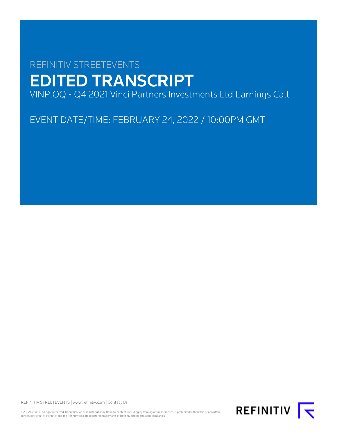# REFINITIV STREETEVENTS EDITED TRANSCRIPT VINP.OQ - Q4 2021 Vinci Partners Investments Ltd Earnings Call

EVENT DATE/TIME: FEBRUARY 24, 2022 / 10:00PM GMT

REFINITIV STREETEVENTS | [www.refinitiv.com](https://www.refinitiv.com/) | [Contact Us](https://www.refinitiv.com/en/contact-us)

©2022 Refinitiv. All rights reserved. Republication or redistribution of Refinitiv content, including by framing or similar means, is prohibited without the prior written<br>consent of Refinitiv. 'Refinitiv' and the Refinitiv

REFINITIV **I**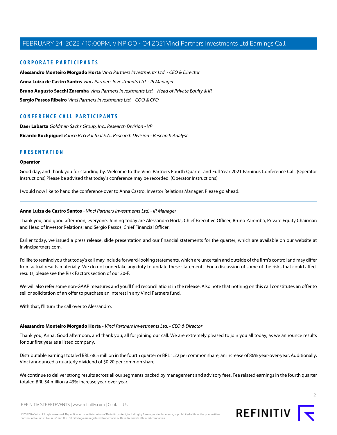## **CORPORATE PARTICIPANTS**

**[Alessandro Monteiro Morgado Horta](#page-1-0)** Vinci Partners Investments Ltd. - CEO & Director **[Anna Luiza de Castro Santos](#page-1-1)** Vinci Partners Investments Ltd. - IR Manager **[Bruno Augusto Sacchi Zaremba](#page-4-0)** Vinci Partners Investments Ltd. - Head of Private Equity & IR **[Sergio Passos Ribeiro](#page-6-0)** Vinci Partners Investments Ltd. - COO & CFO

## **CONFERENCE CALL PARTICIPANTS**

**[Daer Labarta](#page-7-0)** Goldman Sachs Group, Inc., Research Division - VP **[Ricardo Buchpiguel](#page-9-0)** Banco BTG Pactual S.A., Research Division - Research Analyst

## **PRESENTATION**

#### **Operator**

Good day, and thank you for standing by. Welcome to the Vinci Partners Fourth Quarter and Full Year 2021 Earnings Conference Call. (Operator Instructions) Please be advised that today's conference may be recorded. (Operator Instructions)

<span id="page-1-1"></span>I would now like to hand the conference over to Anna Castro, Investor Relations Manager. Please go ahead.

## **Anna Luiza de Castro Santos** - Vinci Partners Investments Ltd. - IR Manager

Thank you, and good afternoon, everyone. Joining today are Alessandro Horta, Chief Executive Officer; Bruno Zaremba, Private Equity Chairman and Head of Investor Relations; and Sergio Passos, Chief Financial Officer.

Earlier today, we issued a press release, slide presentation and our financial statements for the quarter, which are available on our website at ir.vincipartners.com.

I'd like to remind you that today's call may include forward-looking statements, which are uncertain and outside of the firm's control and may differ from actual results materially. We do not undertake any duty to update these statements. For a discussion of some of the risks that could affect results, please see the Risk Factors section of our 20-F.

<span id="page-1-0"></span>We will also refer some non-GAAP measures and you'll find reconciliations in the release. Also note that nothing on this call constitutes an offer to sell or solicitation of an offer to purchase an interest in any Vinci Partners fund.

With that, I'll turn the call over to Alessandro.

## **Alessandro Monteiro Morgado Horta** - Vinci Partners Investments Ltd. - CEO & Director

Thank you, Anna. Good afternoon, and thank you, all for joining our call. We are extremely pleased to join you all today, as we announce results for our first year as a listed company.

Distributable earnings totaled BRL 68.5 million in the fourth quarter or BRL 1.22 per common share, an increase of 86% year-over-year. Additionally, Vinci announced a quarterly dividend of \$0.20 per common share.

We continue to deliver strong results across all our segments backed by management and advisory fees. Fee related earnings in the fourth quarter totaled BRL 54 million a 43% increase year-over-year.

 $\overline{2}$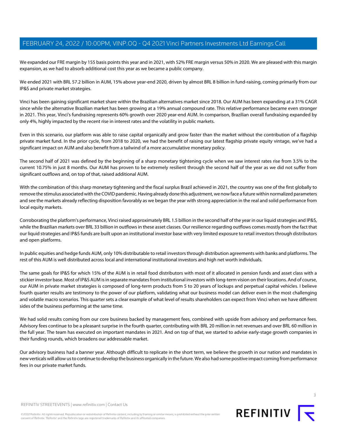We expanded our FRE margin by 155 basis points this year and in 2021, with 52% FRE margin versus 50% in 2020. We are pleased with this margin expansion, as we had to absorb additional cost this year as we became a public company.

We ended 2021 with BRL 57.2 billion in AUM, 15% above year-end 2020, driven by almost BRL 8 billion in fund-raising, coming primarily from our IP&S and private market strategies.

Vinci has been gaining significant market share within the Brazilian alternatives market since 2018. Our AUM has been expanding at a 31% CAGR since while the alternative Brazilian market has been growing at a 19% annual compound rate. This relative performance became even stronger in 2021. This year, Vinci's fundraising represents 60% growth over 2020 year-end AUM. In comparison, Brazilian overall fundraising expanded by only 4%, highly impacted by the recent rise in interest rates and the volatility in public markets.

Even in this scenario, our platform was able to raise capital organically and grow faster than the market without the contribution of a flagship private market fund. In the prior cycle, from 2018 to 2020, we had the benefit of raising our latest flagship private equity vintage, we've had a significant impact on AUM and also benefit from a tailwind of a more accumulative monetary policy.

The second half of 2021 was defined by the beginning of a sharp monetary tightening cycle when we saw interest rates rise from 3.5% to the current 10.75% in just 8 months. Our AUM has proven to be extremely resilient through the second half of the year as we did not suffer from significant outflows and, on top of that, raised additional AUM.

With the combination of this sharp monetary tightening and the fiscal surplus Brazil achieved in 2021, the country was one of the first globally to remove the stimulus associated with the COVID pandemic. Having already done this adjustment, we now face a future within normalized parameters and see the markets already reflecting disposition favorably as we began the year with strong appreciation in the real and solid performance from local equity markets.

Corroborating the platform's performance, Vinci raised approximately BRL 1.5 billion in the second half of the year in our liquid strategies and IP&S, while the Brazilian markets over BRL 33 billion in outflows in these asset classes. Our resilience regarding outflows comes mostly from the fact that our liquid strategies and IP&S funds are built upon an institutional investor base with very limited exposure to retail investors through distributors and open platforms.

In public equities and hedge funds AUM, only 10% distributable to retail investors through distribution agreements with banks and platforms. The rest of this AUM is well distributed across local and international institutional investors and high net worth individuals.

The same goals for IP&S for which 15% of the AUM is in retail food distributors with most of it allocated in pension funds and asset class with a stickier investor base. Most of IP&S AUM is in separate mandates from institutional investors with long-term vision on their locations. And of course, our AUM in private market strategies is composed of long-term products from 5 to 20 years of lockups and perpetual capital vehicles. I believe fourth quarter results are testimony to the power of our platform, validating what our business model can deliver even in the most challenging and volatile macro scenarios. This quarter sets a clear example of what level of results shareholders can expect from Vinci when we have different sides of the business performing at the same time.

We had solid results coming from our core business backed by management fees, combined with upside from advisory and performance fees. Advisory fees continue to be a pleasant surprise in the fourth quarter, contributing with BRL 20 million in net revenues and over BRL 60 million in the full year. The team has executed on important mandates in 2021. And on top of that, we started to advise early-stage growth companies in their funding rounds, which broadens our addressable market.

Our advisory business had a banner year. Although difficult to replicate in the short term, we believe the growth in our nation and mandates in new verticals will allow us to continue to develop the business organically in the future. We also had some positive impact coming from performance fees in our private market funds.



©2022 Refinitiv. All rights reserved. Republication or redistribution of Refinitiv content, including by framing or similar means, is prohibited without the prior written consent of Refinitiv. 'Refinitiv' and the Refinitiv logo are registered trademarks of Refinitiv and its affiliated companies.

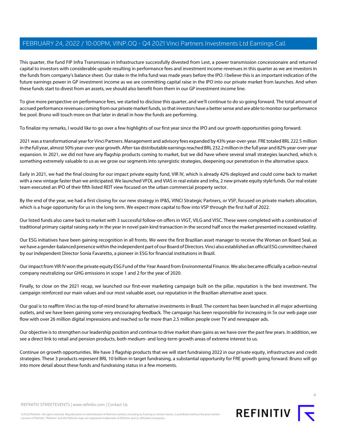This quarter, the fund FIP Infra Transmissao in Infrastructure successfully divested from Lest, a power transmission concessionaire and returned capital to investors with considerable upside resulting in performance fees and investment income revenues in this quarter as we are investors in the funds from company's balance sheet. Our stake in the Infra fund was made years before the IPO. I believe this is an important indication of the future earnings power in GP investment income as we are committing capital raise in the IPO into our private market from launches. And when these funds start to divest from an assets, we should also benefit from them in our GP investment income line.

To give more perspective on performance fees, we started to disclose this quarter, and we'll continue to do so going forward. The total amount of accrued performance revenues coming from our private market funds, so that investors have a better sense and are able to monitor our performance fee pool. Bruno will touch more on that later in detail in how the funds are performing.

To finalize my remarks, I would like to go over a few highlights of our first year since the IPO and our growth opportunities going forward.

2021 was a transformational year for Vinci Partners. Management and advisory fees expanded by 43% year-over-year. FRE totaled BRL 222.5 million in the full year, almost 50% year-over-year growth. After-tax distributable earnings reached BRL 232.2 million in the full year and 82% year-over-year expansion. In 2021, we did not have any flagship products coming to market, but we did have where several small strategies launched, which is something extremely valuable to us as we grow our segments into synergistic strategies, deepening our penetration in the alternative space.

Early in 2021, we had the final closing for our impact private equity fund, VIR IV, which is already 42% deployed and could come back to market with a new vintage faster than we anticipated. We launched VFDL and VIAS in real estate and infra, 2 new private equity style funds. Our real estate team executed an IPO of their fifth listed REIT view focused on the urban commercial property sector.

By the end of the year, we had a first closing for our new strategy in IP&S, VINCI Strategic Partners, or VSP, focused on private markets allocation, which is a huge opportunity for us in the long term. We expect more capital to flow into VSP through the first half of 2022.

Our listed funds also came back to market with 3 successful follow-on offers in VIGT, VILG and VISC. These were completed with a combination of traditional primary capital raising early in the year in novel pain kind transaction in the second half once the market presented increased volatility.

Our ESG initiatives have been gaining recognition in all fronts. We were the first Brazilian asset manager to receive the Woman on Board Seal, as we have a gender-balanced presence within the independent part of our Board of Directors. Vinci also established an official ESG committee chaired by our Independent Director Sonia Favaretto, a pioneer in ESG for financial institutions in Brazil.

Our impact from VIR IV won the private equity ESG Fund of the Year Award from Environmental Finance. We also became officially a carbon-neutral company neutralizing our GHG emissions in scope 1 and 2 for the year of 2020.

Finally, to close on the 2021 recap, we launched our first-ever marketing campaign built on the pillar, reputation is the best investment. The campaign reinforced our main values and our most valuable asset, our reputation in the Brazilian alternative asset space.

Our goal is to reaffirm Vinci as the top-of-mind brand for alternative investments in Brazil. The content has been launched in all major advertising outlets, and we have been gaining some very encouraging feedback. The campaign has been responsible for increasing in 5x our web page user flow with over 26 million digital impressions and reached so far more than 2.5 million people over TV and newspaper ads.

Our objective is to strengthen our leadership position and continue to drive market share gains as we have over the past few years. In addition, we see a direct link to retail and pension products, both medium- and long-term growth areas of extreme interest to us.

Continue on growth opportunities. We have 3 flagship products that we will start fundraising 2022 in our private equity, infrastructure and credit strategies. These 3 products represent BRL 10 billion in target fundraising, a substantial opportunity for FRE growth going forward. Bruno will go into more detail about these funds and fundraising status in a few moments.



4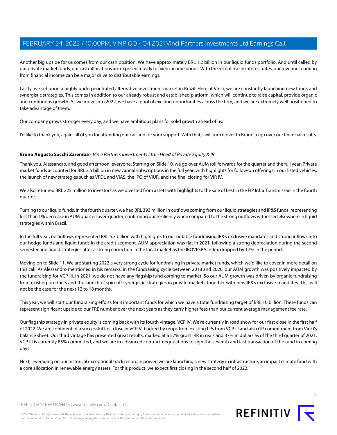Another big upside for us comes from our cash position. We have approximately BRL 1.2 billion in our liquid funds portfolio. And until called by our private market funds, our cash allocations are exposed mostly to fixed income bonds. With the recent rise in interest rates, our revenues coming from financial income can be a major drive to distributable earnings.

Lastly, we set upon a highly underpenetrated alternative investment market in Brazil. Here at Vinci, we are constantly launching new funds and synergistic strategies. This comes in addition to our already robust and established platform, which will continue to raise capital, provide organic and continuous growth. As we move into 2022, we have a pool of exciting opportunities across the firm, and we are extremely well positioned to take advantage of them.

Our company grows stronger every day, and we have ambitious plans for solid growth ahead of us.

<span id="page-4-0"></span>I'd like to thank you, again, all of you for attending our call and for your support. With that, I will turn it over to Bruno to go over our financial results.

## **Bruno Augusto Sacchi Zaremba** - Vinci Partners Investments Ltd. - Head of Private Equity & IR

Thank you, Alessandro, and good afternoon, everyone. Starting on Slide 10, we go over AUM roll forwards for the quarter and the full year. Private market funds accounted for BRL 2.5 billion in new capital subscriptions in the full year, with highlights for follow-on offerings in our listed vehicles, the launch of new strategies such as VFDL and VIAS, the IPO of VIUR, and the final closing for VIR IV.

We also returned BRL 225 million to investors as we divested from assets with highlights to the sale of Lest in the FIP Infra Transmissao in the fourth quarter.

Turning to our liquid funds. In the fourth quarter, we had BRL 393 million in outflows coming from our liquid strategies and IP&S funds, representing less than 1% decrease in AUM quarter-over-quarter, confirming our resiliency when compared to the strong outflows witnessed elsewhere in liquid strategies within Brazil.

In the full year, net inflows represented BRL 5.3 billion with highlights to our notable fundraising IP&S exclusive mandates and strong inflows into our hedge funds and liquid funds in the credit segment. AUM appreciation was flat in 2021, following a strong depreciation during the second semester and liquid strategies after a strong correction in the local market as the IBOVESPA Index dropped by 17% in the period.

Moving on to Slide 11. We are starting 2022 a very strong cycle for fundraising in private market funds, which we'd like to cover in more detail on this call. As Alessandro mentioned in his remarks, in the fundraising cycle between 2018 and 2020, our AUM growth was positively impacted by the fundraising for VCP III. In 2021, we do not have any flagship fund coming to market. So our AUM growth was driven by organic fundraising from existing products and the launch of spin-off synergistic strategies in private markets together with new IP&S exclusive mandates. This will not be the case for the next 12 to 18 months.

This year, we will start our fundraising efforts for 3 important funds for which we have a total fundraising target of BRL 10 billion. These funds can represent significant upside to our FRE number over the next years as they carry higher fees than our current average management fee rate.

Our flagship strategy in private equity is coming back with its fourth vintage, VCP IV. We're currently in road show for our first close in the first half of 2022. We are confident of a successful first close in VCP VI backed by reups from existing LPs from VCP III and also GP commitment from Vinci's balance sheet. Our third vintage has presented great results, marked at a 57% gross IRR in reals and 37% in dollars as of the third quarter of 2021. VCP III is currently 85% committed, and we are in advanced contract negotiations to sign the seventh and last transaction of the fund in coming days.

Next, leveraging on our historical exceptional track record in power, we are launching a new strategy in infrastructure, an impact climate fund with a core allocation in renewable energy assets. For this product, we expect first closing in the second half of 2022.



5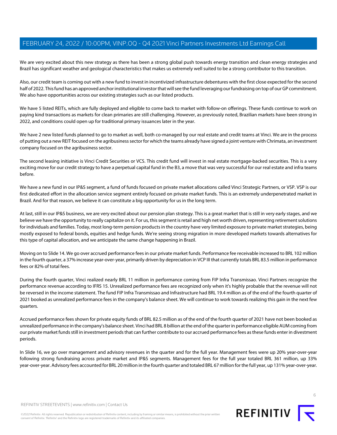We are very excited about this new strategy as there has been a strong global push towards energy transition and clean energy strategies and Brazil has significant weather and geological characteristics that makes us extremely well suited to be a strong contributor to this transition.

Also, our credit team is coming out with a new fund to invest in incentivized infrastructure debentures with the first close expected for the second half of 2022. This fund has an approved anchor institutional investor that will see the fund leveraging our fundraising on top of our GP commitment. We also have opportunities across our existing strategies such as our listed products.

We have 5 listed REITs, which are fully deployed and eligible to come back to market with follow-on offerings. These funds continue to work on paying kind transactions as markets for clean primaries are still challenging. However, as previously noted, Brazilian markets have been strong in 2022, and conditions could open up for traditional primary issuances later in the year.

We have 2 new listed funds planned to go to market as well, both co-managed by our real estate and credit teams at Vinci. We are in the process of putting out a new REIT focused on the agribusiness sector for which the teams already have signed a joint venture with Chrimata, an investment company focused on the agribusiness sector.

The second leasing initiative is Vinci Credit Securities or VCS. This credit fund will invest in real estate mortgage-backed securities. This is a very exciting move for our credit strategy to have a perpetual capital fund in the B3, a move that was very successful for our real estate and infra teams before.

We have a new fund in our IP&S segment, a fund of funds focused on private market allocations called Vinci Strategic Partners, or VSP. VSP is our first dedicated effort in the allocation service segment entirely focused on private market funds. This is an extremely underpenetrated market in Brazil. And for that reason, we believe it can constitute a big opportunity for us in the long term.

At last, still in our IP&S business, we are very excited about our pension plan strategy. This is a great market that is still in very early stages, and we believe we have the opportunity to really capitalize on it. For us, this segment is retail and high net worth driven, representing retirement solutions for individuals and families. Today, most long-term pension products in the country have very limited exposure to private market strategies, being mostly exposed to federal bonds, equities and hedge funds. We're seeing strong migration in more developed markets towards alternatives for this type of capital allocation, and we anticipate the same change happening in Brazil.

Moving on to Slide 14. We go over accrued performance fees in our private market funds. Performance fee receivable increased to BRL 102 million in the fourth quarter, a 37% increase year-over-year, primarily driven by depreciation in VCP III that currently totals BRL 83.5 million in performance fees or 82% of total fees.

During the fourth quarter, Vinci realized nearly BRL 11 million in performance coming from FIP Infra Transmissao. Vinci Partners recognize the performance revenue according to IFRS 15. Unrealized performance fees are recognized only when it's highly probable that the revenue will not be reversed in the income statement. The fund FIP Infra Transmissao and Infrastructure had BRL 19.4 million as of the end of the fourth quarter of 2021 booked as unrealized performance fees in the company's balance sheet. We will continue to work towards realizing this gain in the next few quarters.

Accrued performance fees shown for private equity funds of BRL 82.5 million as of the end of the fourth quarter of 2021 have not been booked as unrealized performance in the company's balance sheet. Vinci had BRL 8 billion at the end of the quarter in performance eligible AUM coming from our private market funds still in investment periods that can further contribute to our accrued performance fees as these funds enter in divestment periods.

In Slide 16, we go over management and advisory revenues in the quarter and for the full year. Management fees were up 20% year-over-year following strong fundraising across private market and IP&S segments. Management fees for the full year totaled BRL 361 million, up 33% year-over-year. Advisory fees accounted for BRL 20 million in the fourth quarter and totaled BRL 67 million for the full year, up 131% year-over-year.



©2022 Refinitiv. All rights reserved. Republication or redistribution of Refinitiv content, including by framing or similar means, is prohibited without the prior written consent of Refinitiv. 'Refinitiv' and the Refinitiv logo are registered trademarks of Refinitiv and its affiliated companies.

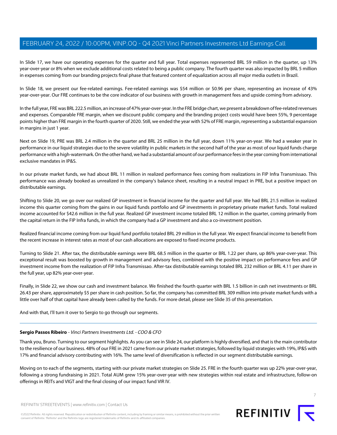In Slide 17, we have our operating expenses for the quarter and full year. Total expenses represented BRL 59 million in the quarter, up 13% year-over-year or 8% when we exclude additional costs related to being a public company. The fourth quarter was also impacted by BRL 5 million in expenses coming from our branding projects final phase that featured content of equalization across all major media outlets in Brazil.

In Slide 18, we present our fee-related earnings. Fee-related earnings was \$54 million or \$0.96 per share, representing an increase of 43% year-over-year. Our FRE continues to be the core indicator of our business with growth in management fees and upside coming from advisory.

In the full year, FRE was BRL 222.5 million, an increase of 47% year-over-year. In the FRE bridge chart, we present a breakdown of fee-related revenues and expenses. Comparable FRE margin, when we discount public company and the branding project costs would have been 55%, 9 percentage points higher than FRE margin in the fourth quarter of 2020. Still, we ended the year with 52% of FRE margin, representing a substantial expansion in margins in just 1 year.

Next on Slide 19, PRE was BRL 2.4 million in the quarter and BRL 25 million in the full year, down 11% year-on-year. We had a weaker year in performance in our liquid strategies due to the severe volatility in public markets in the second half of the year as most of our liquid funds charge performance with a high-watermark. On the other hand, we had a substantial amount of our performance fees in the year coming from international exclusive mandates in IP&S.

In our private market funds, we had about BRL 11 million in realized performance fees coming from realizations in FIP Infra Transmissao. This performance was already booked as unrealized in the company's balance sheet, resulting in a neutral impact in PRE, but a positive impact on distributable earnings.

Shifting to Slide 20, we go over our realized GP investment in financial income for the quarter and full year. We had BRL 21.5 million in realized income this quarter coming from the gains in our liquid funds portfolio and GP investments in proprietary private market funds. Total realized income accounted for \$42.6 million in the full year. Realized GP investment income totaled BRL 12 million in the quarter, coming primarily from the capital return in the FIP Infra funds, in which the company had a GP investment and also a co-investment position.

Realized financial income coming from our liquid fund portfolio totaled BRL 29 million in the full year. We expect financial income to benefit from the recent increase in interest rates as most of our cash allocations are exposed to fixed income products.

Turning to Slide 21. After tax, the distributable earnings were BRL 68.5 million in the quarter or BRL 1.22 per share, up 86% year-over-year. This exceptional result was boosted by growth in management and advisory fees, combined with the positive impact on performance fees and GP investment income from the realization of FIP Infra Transmissao. After-tax distributable earnings totaled BRL 232 million or BRL 4.11 per share in the full year, up 82% year-over-year.

<span id="page-6-0"></span>Finally, in Slide 22, we show our cash and investment balance. We finished the fourth quarter with BRL 1.5 billion in cash net investments or BRL 26.43 per share, approximately \$5 per share in cash position. So far, the company has committed BRL 309 million into private market funds with a little over half of that capital have already been called by the funds. For more detail, please see Slide 35 of this presentation.

And with that, I'll turn it over to Sergio to go through our segments.

## **Sergio Passos Ribeiro** - Vinci Partners Investments Ltd. - COO & CFO

Thank you, Bruno. Turning to our segment highlights. As you can see in Slide 24, our platform is highly diversified, and that is the main contributor to the resilience of our business. 48% of our FRE in 2021 came from our private market strategies, followed by liquid strategies with 19%, IP&S with 17% and financial advisory contributing with 16%. The same level of diversification is reflected in our segment distributable earnings.

Moving on to each of the segments, starting with our private market strategies on Slide 25. FRE in the fourth quarter was up 22% year-over-year, following a strong fundraising in 2021. Total AUM grew 15% year-over-year with new strategies within real estate and infrastructure, follow-on offerings in REITs and VIGT and the final closing of our impact fund VIR IV.

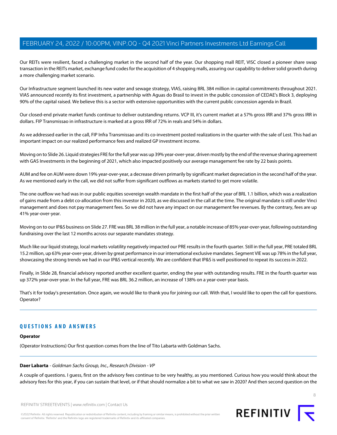Our REITs were resilient, faced a challenging market in the second half of the year. Our shopping mall REIT, VISC closed a pioneer share swap transaction in the REITs market, exchange fund codes for the acquisition of 4 shopping malls, assuring our capability to deliver solid growth during a more challenging market scenario.

Our Infrastructure segment launched its new water and sewage strategy, VIAS, raising BRL 384 million in capital commitments throughout 2021. VIAS announced recently its first investment, a partnership with Aguas do Brasil to invest in the public concession of CEDAE's Block 3, deploying 90% of the capital raised. We believe this is a sector with extensive opportunities with the current public concession agenda in Brazil.

Our closed-end private market funds continue to deliver outstanding returns. VCP III, it's current market at a 57% gross IRR and 37% gross IRR in dollars. FIP Transmissao in infrastructure is marked at a gross IRR of 72% in reals and 54% in dollars.

As we addressed earlier in the call, FIP Infra Transmissao and its co-investment posted realizations in the quarter with the sale of Lest. This had an important impact on our realized performance fees and realized GP investment income.

Moving on to Slide 26. Liquid strategies FRE for the full year was up 39% year-over-year, driven mostly by the end of the revenue sharing agreement with GAS Investments in the beginning of 2021, which also impacted positively our average management fee rate by 22 basis points.

AUM and fee on AUM were down 19% year-over-year, a decrease driven primarily by significant market depreciation in the second half of the year. As we mentioned early in the call, we did not suffer from significant outflows as markets started to get more volatile.

The one outflow we had was in our public equities sovereign wealth mandate in the first half of the year of BRL 1.1 billion, which was a realization of gains made from a debt co-allocation from this investor in 2020, as we discussed in the call at the time. The original mandate is still under Vinci management and does not pay management fees. So we did not have any impact on our management fee revenues. By the contrary, fees are up 41% year-over-year.

Moving on to our IP&S business on Slide 27. FRE was BRL 38 million in the full year, a notable increase of 85% year-over-year, following outstanding fundraising over the last 12 months across our separate mandates strategy.

Much like our liquid strategy, local markets volatility negatively impacted our PRE results in the fourth quarter. Still in the full year, PRE totaled BRL 15.2 million, up 63% year-over-year, driven by great performance in our international exclusive mandates. Segment VIE was up 78% in the full year, showcasing the strong trends we had in our IP&S vertical recently. We are confident that IP&S is well positioned to repeat its success in 2022.

Finally, in Slide 28, financial advisory reported another excellent quarter, ending the year with outstanding results. FRE in the fourth quarter was up 372% year-over-year. In the full year, FRE was BRL 36.2 million, an increase of 138% on a year-over-year basis.

That's it for today's presentation. Once again, we would like to thank you for joining our call. With that, I would like to open the call for questions. Operator?

# <span id="page-7-0"></span>**QUESTIONS AND ANSWERS**

## **Operator**

(Operator Instructions) Our first question comes from the line of Tito Labarta with Goldman Sachs.

## **Daer Labarta** - Goldman Sachs Group, Inc., Research Division - VP

A couple of questions. I guess, first on the advisory fees continue to be very healthy, as you mentioned. Curious how you would think about the advisory fees for this year, if you can sustain that level, or if that should normalize a bit to what we saw in 2020? And then second question on the

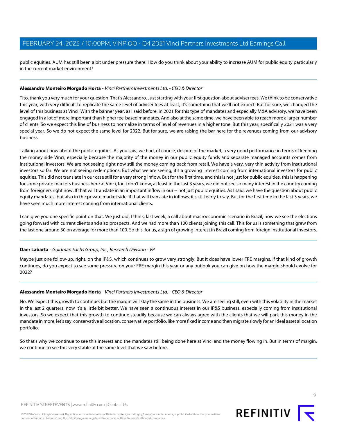public equities. AUM has still been a bit under pressure there. How do you think about your ability to increase AUM for public equity particularly in the current market environment?

## **Alessandro Monteiro Morgado Horta** - Vinci Partners Investments Ltd. - CEO & Director

Tito, thank you very much for your question. That's Alessandro. Just starting with your first question about adviser fees. We think to be conservative this year, with very difficult to replicate the same level of adviser fees at least, it's something that we'll not expect. But for sure, we changed the level of this business at Vinci. With the banner year, as I said before, in 2021 for this type of mandates and especially M&A advisory, we have been engaged in a lot of more important than higher fee-based mandates. And also at the same time, we have been able to reach more a larger number of clients. So we expect this line of business to normalize in terms of level of revenues in a higher tone. But this year, specifically 2021 was a very special year. So we do not expect the same level for 2022. But for sure, we are raising the bar here for the revenues coming from our advisory business.

Talking about now about the public equities. As you saw, we had, of course, despite of the market, a very good performance in terms of keeping the money side Vinci, especially because the majority of the money in our public equity funds and separate managed accounts comes from institutional investors. We are not seeing right now still the money coming back from retail. We have a very, very thin activity from institutional investors so far. We are not seeing redemptions. But what we are seeing, it's a growing interest coming from international investors for public equities. This did not translate in our case still for a very strong inflow. But for the first time, and this is not just for public equities, this is happening for some private markets business here at Vinci, for, I don't know, at least in the last 3 years, we did not see so many interest in the country coming from foreigners right now. If that will translate in an important inflow in our -- not just public equities. As I said, we have the question about public equity mandates, but also in the private market side, if that will translate in inflows, it's still early to say. But for the first time in the last 3 years, we have seen much more interest coming from international clients.

I can give you one specific point on that. We just did, I think, last week, a call about macroeconomic scenario in Brazil, how we see the elections going forward with current clients and also prospects. And we had more than 100 clients joining this call. This for us is something that grew from the last one around 30 on average for more than 100. So this, for us, a sign of growing interest in Brazil coming from foreign institutional investors.

## **Daer Labarta** - Goldman Sachs Group, Inc., Research Division - VP

Maybe just one follow-up, right, on the IP&S, which continues to grow very strongly. But it does have lower FRE margins. If that kind of growth continues, do you expect to see some pressure on your FRE margin this year or any outlook you can give on how the margin should evolve for 2022?

## **Alessandro Monteiro Morgado Horta** - Vinci Partners Investments Ltd. - CEO & Director

No. We expect this growth to continue, but the margin will stay the same in the business. We are seeing still, even with this volatility in the market in the last 2 quarters, now it's a little bit better. We have seen a continuous interest in our IP&S business, especially coming from institutional investors. So we expect that this growth to continue steadily because we can always agree with the clients that we will park this money in the mandate in more, let's say, conservative allocation, conservative portfolio, like more fixed income and then migrate slowly for an ideal asset allocation portfolio.

So that's why we continue to see this interest and the mandates still being done here at Vinci and the money flowing in. But in terms of margin, we continue to see this very stable at the same level that we saw before.

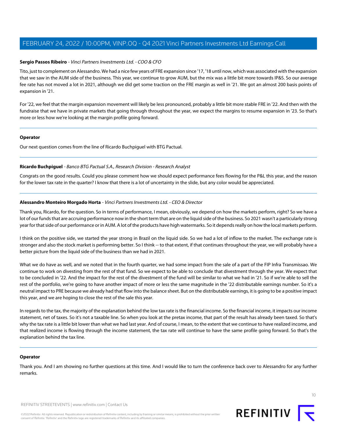## **Sergio Passos Ribeiro** - Vinci Partners Investments Ltd. - COO & CFO

Tito, just to complement on Alessandro. We had a nice few years of FRE expansion since '17, '18 until now, which was associated with the expansion that we saw in the AUM side of the business. This year, we continue to grow AUM, but the mix was a little bit more towards IP&S. So our average fee rate has not moved a lot in 2021, although we did get some traction on the FRE margin as well in '21. We got an almost 200 basis points of expansion in '21.

For '22, we feel that the margin expansion movement will likely be less pronounced, probably a little bit more stable FRE in '22. And then with the fundraise that we have in private markets that going through throughout the year, we expect the margins to resume expansion in '23. So that's more or less how we're looking at the margin profile going forward.

## **Operator**

<span id="page-9-0"></span>Our next question comes from the line of Ricardo Buchpiguel with BTG Pactual.

## **Ricardo Buchpiguel** - Banco BTG Pactual S.A., Research Division - Research Analyst

Congrats on the good results. Could you please comment how we should expect performance fees flowing for the P&L this year, and the reason for the lower tax rate in the quarter? I know that there is a lot of uncertainty in the slide, but any color would be appreciated.

## **Alessandro Monteiro Morgado Horta** - Vinci Partners Investments Ltd. - CEO & Director

Thank you, Ricardo, for the question. So in terms of performance, I mean, obviously, we depend on how the markets perform, right? So we have a lot of our funds that are accruing performance now in the short term that are on the liquid side of the business. So 2021 wasn't a particularly strong year for that side of our performance or in AUM. A lot of the products have high watermarks. So it depends really on how the local markets perform.

I think on the positive side, we started the year strong in Brazil on the liquid side. So we had a lot of inflow to the market. The exchange rate is stronger and also the stock market is performing better. So I think -- to that extent, if that continues throughout the year, we will probably have a better picture from the liquid side of the business than we had in 2021.

What we do have as well, and we noted that in the fourth quarter, we had some impact from the sale of a part of the FIP Infra Transmissao. We continue to work on divesting from the rest of that fund. So we expect to be able to conclude that divestment through the year. We expect that to be concluded in '22. And the impact for the rest of the divestment of the fund will be similar to what we had in '21. So if we're able to sell the rest of the portfolio, we're going to have another impact of more or less the same magnitude in the '22 distributable earnings number. So it's a neutral impact to PRE because we already had that flow into the balance sheet. But on the distributable earnings, it is going to be a positive impact this year, and we are hoping to close the rest of the sale this year.

In regards to the tax, the majority of the explanation behind the low tax rate is the financial income. So the financial income, it impacts our income statement, net of taxes. So it's not a taxable line. So when you look at the pretax income, that part of the result has already been taxed. So that's why the tax rate is a little bit lower than what we had last year. And of course, I mean, to the extent that we continue to have realized income, and that realized income is flowing through the income statement, the tax rate will continue to have the same profile going forward. So that's the explanation behind the tax line.

## **Operator**

Thank you. And I am showing no further questions at this time. And I would like to turn the conference back over to Alessandro for any further remarks.